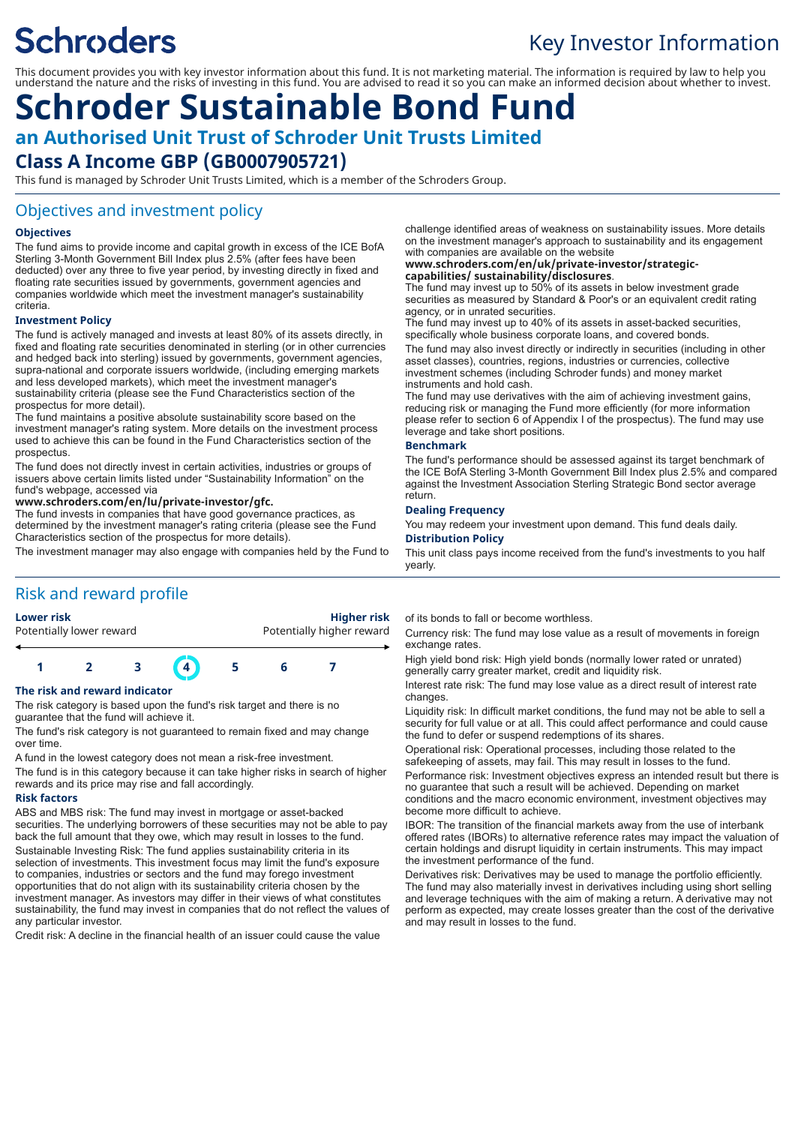# **Schroders**

## Key Investor Information

This document provides you with key investor information about this fund. It is not marketing material. The information is required by law to help you understand the nature and the risks of investing in this fund. You are advised to read it so you can make an informed decision about whether to invest.

## **Schroder Sustainable Bond Fund an Authorised Unit Trust of Schroder Unit Trusts Limited Class A Income GBP (GB0007905721)**

This fund is managed by Schroder Unit Trusts Limited, which is a member of the Schroders Group.

## Objectives and investment policy

#### **Objectives**

The fund aims to provide income and capital growth in excess of the ICE BofA Sterling 3-Month Government Bill Index plus 2.5% (after fees have been deducted) over any three to five year period, by investing directly in fixed and floating rate securities issued by governments, government agencies and companies worldwide which meet the investment manager's sustainability criteria.

#### **Investment Policy**

The fund is actively managed and invests at least 80% of its assets directly, in fixed and floating rate securities denominated in sterling (or in other currencies and hedged back into sterling) issued by governments, government agencies, supra-national and corporate issuers worldwide, (including emerging markets and less developed markets), which meet the investment manager's sustainability criteria (please see the Fund Characteristics section of the prospectus for more detail).

The fund maintains a positive absolute sustainability score based on the investment manager's rating system. More details on the investment process used to achieve this can be found in the Fund Characteristics section of the prospectus.

The fund does not directly invest in certain activities, industries or groups of issuers above certain limits listed under "Sustainability Information" on the fund's webpage, accessed via

#### **www.schroders.com/en/lu/private-investor/gfc.**

The fund invests in companies that have good governance practices, as determined by the investment manager's rating criteria (please see the Fund Characteristics section of the prospectus for more details).

The investment manager may also engage with companies held by the Fund to

## Risk and reward profile

## **Lower risk Higher risk** Potentially lower reward **Potentially higher reward 1 2 3 4 5 6 7**

#### **The risk and reward indicator**

The risk category is based upon the fund's risk target and there is no guarantee that the fund will achieve it.

The fund's risk category is not guaranteed to remain fixed and may change over time.

A fund in the lowest category does not mean a risk-free investment.

The fund is in this category because it can take higher risks in search of higher rewards and its price may rise and fall accordingly.

#### **Risk factors**

ABS and MBS risk: The fund may invest in mortgage or asset-backed securities. The underlying borrowers of these securities may not be able to pay back the full amount that they owe, which may result in losses to the fund. Sustainable Investing Risk: The fund applies sustainability criteria in its selection of investments. This investment focus may limit the fund's exposure to companies, industries or sectors and the fund may forego investment opportunities that do not align with its sustainability criteria chosen by the investment manager. As investors may differ in their views of what constitutes sustainability, the fund may invest in companies that do not reflect the values of any particular investor.

Credit risk: A decline in the financial health of an issuer could cause the value

challenge identified areas of weakness on sustainability issues. More details on the investment manager's approach to sustainability and its engagement with companies are available on the website

### **www.schroders.com/en/uk/private-investor/strategic-**

**capabilities/ sustainability/disclosures**. The fund may invest up to 50% of its assets in below investment grade securities as measured by Standard & Poor's or an equivalent credit rating agency, or in unrated securities.

The fund may invest up to 40% of its assets in asset-backed securities, specifically whole business corporate loans, and covered bonds.

The fund may also invest directly or indirectly in securities (including in other asset classes), countries, regions, industries or currencies, collective investment schemes (including Schroder funds) and money market instruments and hold cash.

The fund may use derivatives with the aim of achieving investment gains, reducing risk or managing the Fund more efficiently (for more information please refer to section 6 of Appendix I of the prospectus). The fund may use leverage and take short positions.

#### **Benchmark**

The fund's performance should be assessed against its target benchmark of the ICE BofA Sterling 3-Month Government Bill Index plus 2.5% and compared against the Investment Association Sterling Strategic Bond sector average return.

#### **Dealing Frequency**

You may redeem your investment upon demand. This fund deals daily. **Distribution Policy**

This unit class pays income received from the fund's investments to you half yearly.

of its bonds to fall or become worthless.

Currency risk: The fund may lose value as a result of movements in foreign exchange rates.

High yield bond risk: High yield bonds (normally lower rated or unrated) generally carry greater market, credit and liquidity risk.

Interest rate risk: The fund may lose value as a direct result of interest rate changes.

Liquidity risk: In difficult market conditions, the fund may not be able to sell a security for full value or at all. This could affect performance and could cause the fund to defer or suspend redemptions of its shares.

Operational risk: Operational processes, including those related to the safekeeping of assets, may fail. This may result in losses to the fund.

Performance risk: Investment objectives express an intended result but there is no guarantee that such a result will be achieved. Depending on market conditions and the macro economic environment, investment objectives may become more difficult to achieve.

IBOR: The transition of the financial markets away from the use of interbank offered rates (IBORs) to alternative reference rates may impact the valuation of certain holdings and disrupt liquidity in certain instruments. This may impact the investment performance of the fund.

Derivatives risk: Derivatives may be used to manage the portfolio efficiently. The fund may also materially invest in derivatives including using short selling and leverage techniques with the aim of making a return. A derivative may not perform as expected, may create losses greater than the cost of the derivative and may result in losses to the fund.